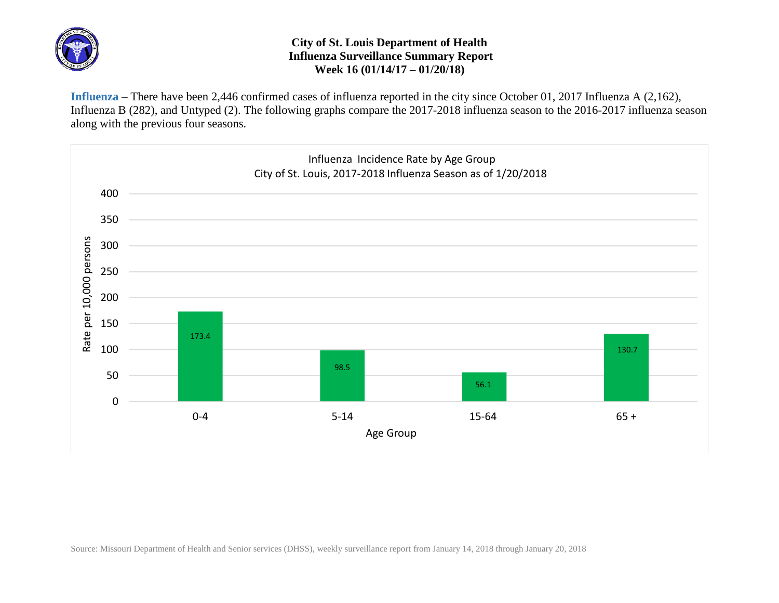

## **City of St. Louis Department of Health Influenza Surveillance Summary Report Week 16 (01/14/17 – 01/20/18)**

**Influenza** – There have been 2,446 confirmed cases of influenza reported in the city since October 01, 2017 Influenza A (2,162), Influenza B (282), and Untyped (2). The following graphs compare the 2017-2018 influenza season to the 2016-2017 influenza season along with the previous four seasons.